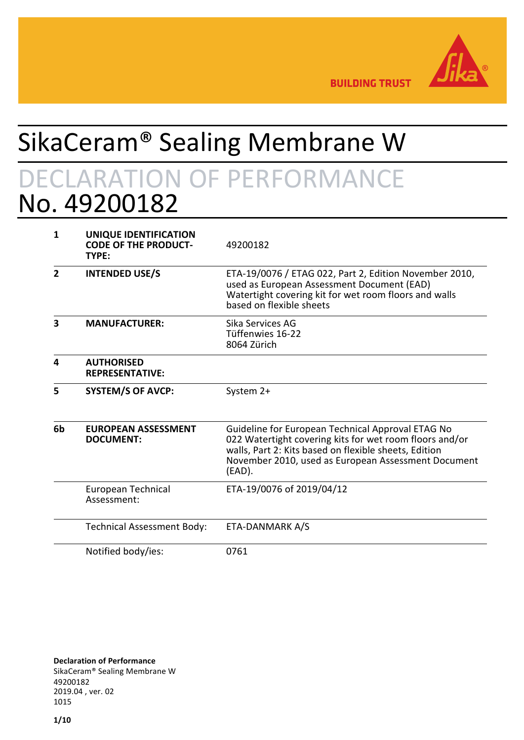

**BUILDING TRUST** 

# SikaCeram® Sealing Membrane W DECLARATION OF PERFORMANCE No. 49200182

| 1              | UNIQUE IDENTIFICATION<br><b>CODE OF THE PRODUCT-</b><br>TYPE: | 49200182                                                                                                                                                                                                                                  |
|----------------|---------------------------------------------------------------|-------------------------------------------------------------------------------------------------------------------------------------------------------------------------------------------------------------------------------------------|
| $\overline{2}$ | <b>INTENDED USE/S</b>                                         | ETA-19/0076 / ETAG 022, Part 2, Edition November 2010,<br>used as European Assessment Document (EAD)<br>Watertight covering kit for wet room floors and walls<br>based on flexible sheets                                                 |
| 3              | <b>MANUFACTURER:</b>                                          | Sika Services AG<br>Tüffenwies 16-22<br>8064 Zürich                                                                                                                                                                                       |
| 4              | <b>AUTHORISED</b><br><b>REPRESENTATIVE:</b>                   |                                                                                                                                                                                                                                           |
| 5              | <b>SYSTEM/S OF AVCP:</b>                                      | System 2+                                                                                                                                                                                                                                 |
| 6b             | <b>EUROPEAN ASSESSMENT</b><br><b>DOCUMENT:</b>                | Guideline for European Technical Approval ETAG No<br>022 Watertight covering kits for wet room floors and/or<br>walls, Part 2: Kits based on flexible sheets, Edition<br>November 2010, used as European Assessment Document<br>$(EAD)$ . |
|                | European Technical<br>Assessment:                             | ETA-19/0076 of 2019/04/12                                                                                                                                                                                                                 |
|                | <b>Technical Assessment Body:</b>                             | ETA-DANMARK A/S                                                                                                                                                                                                                           |
|                | Notified body/ies:                                            | 0761                                                                                                                                                                                                                                      |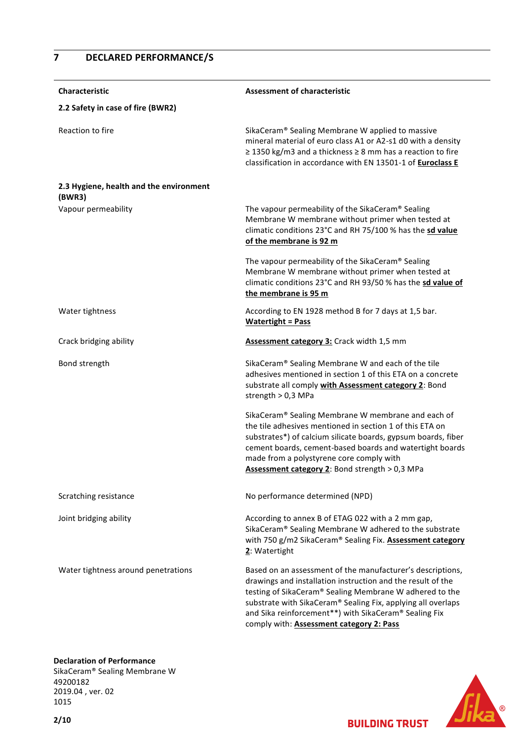# **7 DECLARED PERFORMANCE/S**

| <b>Characteristic</b>                             | <b>Assessment of characteristic</b>                                                                                                                                                                                                                                                                                                                       |  |
|---------------------------------------------------|-----------------------------------------------------------------------------------------------------------------------------------------------------------------------------------------------------------------------------------------------------------------------------------------------------------------------------------------------------------|--|
| 2.2 Safety in case of fire (BWR2)                 |                                                                                                                                                                                                                                                                                                                                                           |  |
| Reaction to fire                                  | SikaCeram® Sealing Membrane W applied to massive<br>mineral material of euro class A1 or A2-s1 d0 with a density<br>$\ge$ 1350 kg/m3 and a thickness $\ge$ 8 mm has a reaction to fire<br>classification in accordance with EN 13501-1 of Euroclass E                                                                                                     |  |
| 2.3 Hygiene, health and the environment<br>(BWR3) |                                                                                                                                                                                                                                                                                                                                                           |  |
| Vapour permeability                               | The vapour permeability of the SikaCeram® Sealing<br>Membrane W membrane without primer when tested at<br>climatic conditions 23°C and RH 75/100 % has the sd value<br>of the membrane is 92 m                                                                                                                                                            |  |
|                                                   | The vapour permeability of the SikaCeram® Sealing<br>Membrane W membrane without primer when tested at<br>climatic conditions 23°C and RH 93/50 % has the sd value of<br>the membrane is 95 m                                                                                                                                                             |  |
| Water tightness                                   | According to EN 1928 method B for 7 days at 1,5 bar.<br><b>Watertight = Pass</b>                                                                                                                                                                                                                                                                          |  |
| Crack bridging ability                            | Assessment category 3: Crack width 1,5 mm                                                                                                                                                                                                                                                                                                                 |  |
| Bond strength                                     | SikaCeram® Sealing Membrane W and each of the tile<br>adhesives mentioned in section 1 of this ETA on a concrete<br>substrate all comply with Assessment category 2: Bond<br>strength $> 0.3$ MPa                                                                                                                                                         |  |
|                                                   | SikaCeram® Sealing Membrane W membrane and each of<br>the tile adhesives mentioned in section 1 of this ETA on<br>substrates*) of calcium silicate boards, gypsum boards, fiber<br>cement boards, cement-based boards and watertight boards<br>made from a polystyrene core comply with<br>Assessment category 2: Bond strength > 0,3 MPa                 |  |
| Scratching resistance                             | No performance determined (NPD)                                                                                                                                                                                                                                                                                                                           |  |
| Joint bridging ability                            | According to annex B of ETAG 022 with a 2 mm gap,<br>SikaCeram® Sealing Membrane W adhered to the substrate<br>with 750 g/m2 SikaCeram® Sealing Fix. Assessment category<br>2: Watertight                                                                                                                                                                 |  |
| Water tightness around penetrations               | Based on an assessment of the manufacturer's descriptions,<br>drawings and installation instruction and the result of the<br>testing of SikaCeram® Sealing Membrane W adhered to the<br>substrate with SikaCeram® Sealing Fix, applying all overlaps<br>and Sika reinforcement**) with SikaCeram® Sealing Fix<br>comply with: Assessment category 2: Pass |  |

#### **Declaration of Performance**

SikaCeram® Sealing Membrane W 49200182 2019.04 , ver. 02 1015

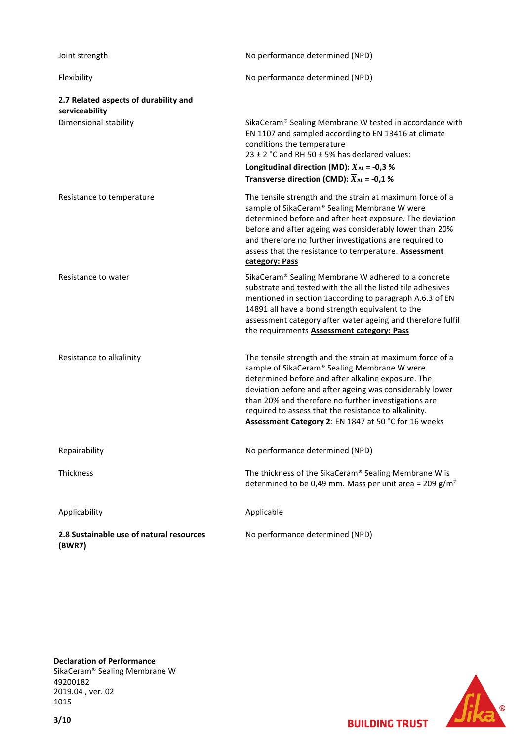| Joint strength                                          | No performance determined (NPD)                                                                                                                                                                                                                                                                                                                                                                      |
|---------------------------------------------------------|------------------------------------------------------------------------------------------------------------------------------------------------------------------------------------------------------------------------------------------------------------------------------------------------------------------------------------------------------------------------------------------------------|
| Flexibility                                             | No performance determined (NPD)                                                                                                                                                                                                                                                                                                                                                                      |
| 2.7 Related aspects of durability and<br>serviceability |                                                                                                                                                                                                                                                                                                                                                                                                      |
| Dimensional stability                                   | SikaCeram® Sealing Membrane W tested in accordance with<br>EN 1107 and sampled according to EN 13416 at climate<br>conditions the temperature<br>23 ± 2 °C and RH 50 $\pm$ 5% has declared values:<br>Longitudinal direction (MD): $\overline{X}_{\Delta L}$ = -0,3 %<br>Transverse direction (CMD): $\overline{X}_{\Delta L}$ = -0,1 %                                                              |
| Resistance to temperature                               | The tensile strength and the strain at maximum force of a<br>sample of SikaCeram® Sealing Membrane W were<br>determined before and after heat exposure. The deviation<br>before and after ageing was considerably lower than 20%<br>and therefore no further investigations are required to<br>assess that the resistance to temperature. Assessment<br>category: Pass                               |
| Resistance to water                                     | SikaCeram® Sealing Membrane W adhered to a concrete<br>substrate and tested with the all the listed tile adhesives<br>mentioned in section 1according to paragraph A.6.3 of EN<br>14891 all have a bond strength equivalent to the<br>assessment category after water ageing and therefore fulfil<br>the requirements <b>Assessment category: Pass</b>                                               |
| Resistance to alkalinity                                | The tensile strength and the strain at maximum force of a<br>sample of SikaCeram® Sealing Membrane W were<br>determined before and after alkaline exposure. The<br>deviation before and after ageing was considerably lower<br>than 20% and therefore no further investigations are<br>required to assess that the resistance to alkalinity.<br>Assessment Category 2: EN 1847 at 50 °C for 16 weeks |
| Repairability                                           | No performance determined (NPD)                                                                                                                                                                                                                                                                                                                                                                      |
| Thickness                                               | The thickness of the SikaCeram® Sealing Membrane W is<br>determined to be 0,49 mm. Mass per unit area = 209 $g/m^2$                                                                                                                                                                                                                                                                                  |
| Applicability                                           | Applicable                                                                                                                                                                                                                                                                                                                                                                                           |
| 2.8 Sustainable use of natural resources<br>(BWR7)      | No performance determined (NPD)                                                                                                                                                                                                                                                                                                                                                                      |

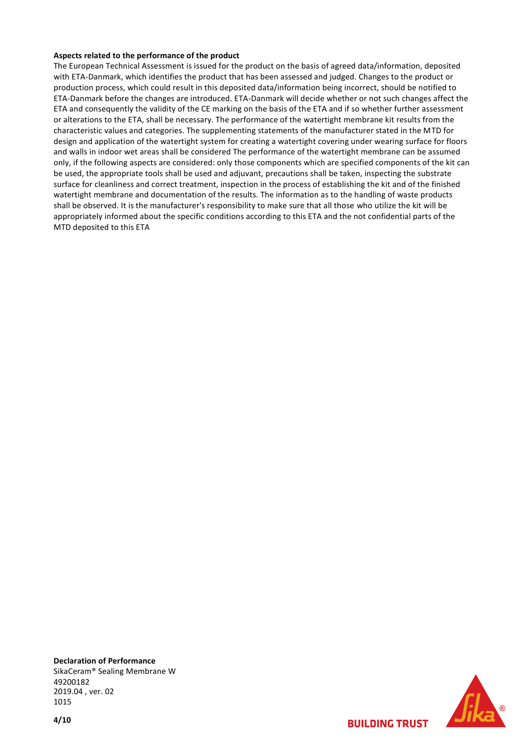#### **Aspects related to the performance of the product**

The European Technical Assessment is issued for the product on the basis of agreed data/information, deposited with ETA-Danmark, which identifies the product that has been assessed and judged. Changes to the product or production process, which could result in this deposited data/information being incorrect, should be notified to ETA-Danmark before the changes are introduced. ETA-Danmark will decide whether or not such changes affect the ETA and consequently the validity of the CE marking on the basis of the ETA and if so whether further assessment or alterations to the ETA, shall be necessary. The performance of the watertight membrane kit results from the characteristic values and categories. The supplementing statements of the manufacturer stated in the MTD for design and application of the watertight system for creating a watertight covering under wearing surface for floors and walls in indoor wet areas shall be considered The performance of the watertight membrane can be assumed only, if the following aspects are considered: only those components which are specified components of the kit can be used, the appropriate tools shall be used and adjuvant, precautions shall be taken, inspecting the substrate surface for cleanliness and correct treatment, inspection in the process of establishing the kit and of the finished watertight membrane and documentation of the results. The information as to the handling of waste products shall be observed. It is the manufacturer's responsibility to make sure that all those who utilize the kit will be appropriately informed about the specific conditions according to this ETA and the not confidential parts of the MTD deposited to this ETA



**BUILDING TRUST**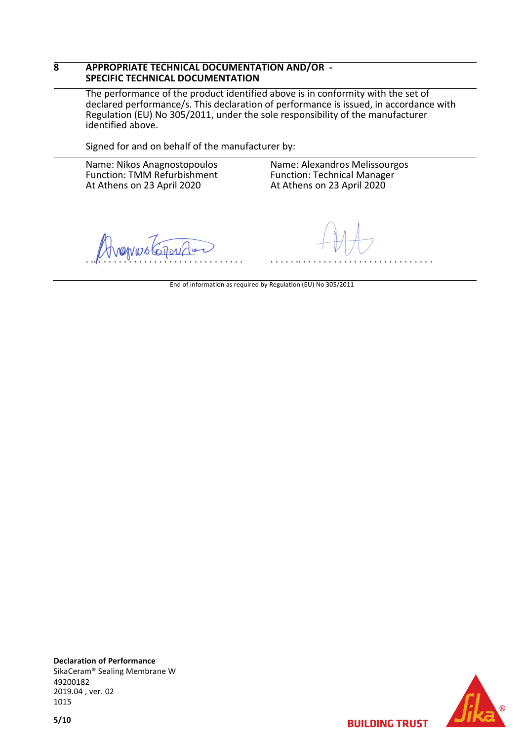#### **8 APPROPRIATE TECHNICAL DOCUMENTATION AND/OR - SPECIFIC TECHNICAL DOCUMENTATION**

The performance of the product identified above is in conformity with the set of declared performance/s. This declaration of performance is issued, in accordance with Regulation (EU) No 305/2011, under the sole responsibility of the manufacturer identified above.

Signed for and on behalf of the manufacturer by:

Name: Nikos Anagnostopoulos Function: TMM Refurbishment At Athens on 23 April 2020

Name: Alexandros Melissourgos Function: Technical Manager At Athens on 23 April 2020

. .. . . . . . . . . . . . . . . . . . . . . . . . . . . . . .

. . . . . .. . . . . . . . . . . . . . . . . . . . . . . . . . .

End of information as required by Regulation (EU) No 305/2011



**BUILDING TRUST**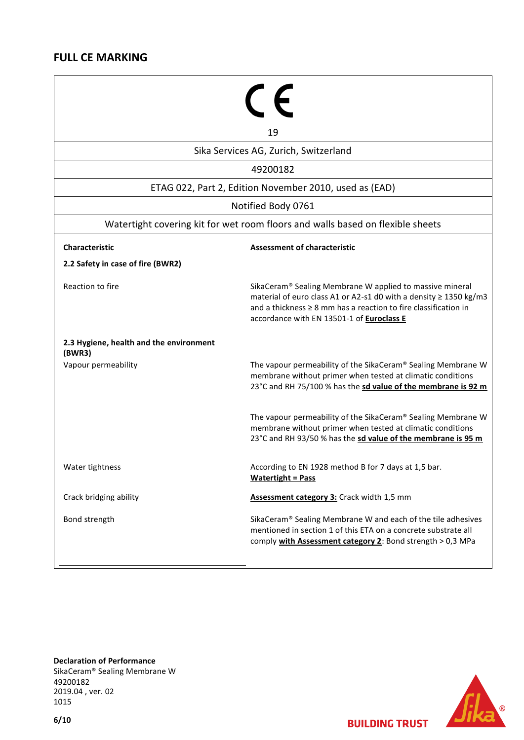# **FULL CE MARKING**

|                                                                                | 19                                                                                                                                                                                                                                                 |  |  |  |
|--------------------------------------------------------------------------------|----------------------------------------------------------------------------------------------------------------------------------------------------------------------------------------------------------------------------------------------------|--|--|--|
| Sika Services AG, Zurich, Switzerland                                          |                                                                                                                                                                                                                                                    |  |  |  |
| 49200182                                                                       |                                                                                                                                                                                                                                                    |  |  |  |
| ETAG 022, Part 2, Edition November 2010, used as (EAD)                         |                                                                                                                                                                                                                                                    |  |  |  |
| Notified Body 0761                                                             |                                                                                                                                                                                                                                                    |  |  |  |
| Watertight covering kit for wet room floors and walls based on flexible sheets |                                                                                                                                                                                                                                                    |  |  |  |
| <b>Characteristic</b>                                                          | <b>Assessment of characteristic</b>                                                                                                                                                                                                                |  |  |  |
| 2.2 Safety in case of fire (BWR2)                                              |                                                                                                                                                                                                                                                    |  |  |  |
| Reaction to fire                                                               | SikaCeram® Sealing Membrane W applied to massive mineral<br>material of euro class A1 or A2-s1 d0 with a density ≥ 1350 kg/m3<br>and a thickness $\geq 8$ mm has a reaction to fire classification in<br>accordance with EN 13501-1 of Euroclass E |  |  |  |
| 2.3 Hygiene, health and the environment<br>(BWR3)                              |                                                                                                                                                                                                                                                    |  |  |  |
| Vapour permeability                                                            | The vapour permeability of the SikaCeram® Sealing Membrane W<br>membrane without primer when tested at climatic conditions<br>23°C and RH 75/100 % has the sd value of the membrane is 92 m                                                        |  |  |  |
|                                                                                | The vapour permeability of the SikaCeram® Sealing Membrane W<br>membrane without primer when tested at climatic conditions<br>23°C and RH 93/50 % has the sd value of the membrane is 95 m                                                         |  |  |  |
| Water tightness                                                                | According to EN 1928 method B for 7 days at 1,5 bar.<br><b>Watertight = Pass</b>                                                                                                                                                                   |  |  |  |
| Crack bridging ability                                                         | Assessment category 3: Crack width 1,5 mm                                                                                                                                                                                                          |  |  |  |
| Bond strength                                                                  | SikaCeram® Sealing Membrane W and each of the tile adhesives<br>mentioned in section 1 of this ETA on a concrete substrate all<br>comply with Assessment category 2: Bond strength > 0,3 MPa                                                       |  |  |  |
|                                                                                |                                                                                                                                                                                                                                                    |  |  |  |

**Declaration of Performance** SikaCeram® Sealing Membrane W 49200182 2019.04 , ver. 02 1015

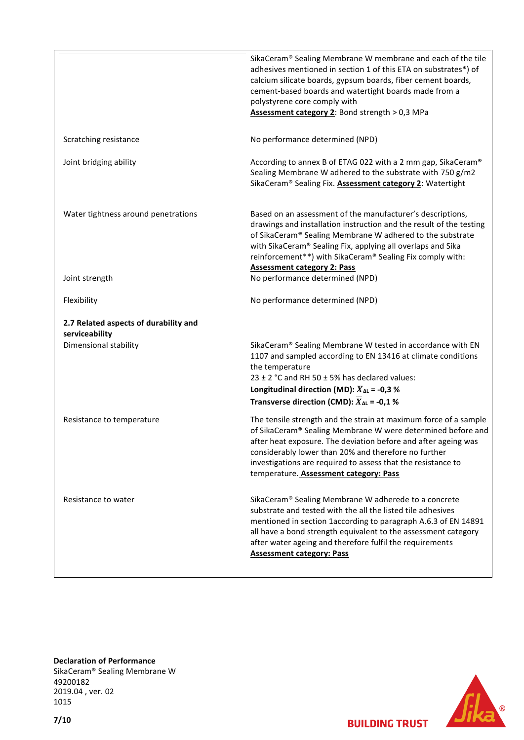|                                                         | SikaCeram® Sealing Membrane W membrane and each of the tile<br>adhesives mentioned in section 1 of this ETA on substrates*) of<br>calcium silicate boards, gypsum boards, fiber cement boards,<br>cement-based boards and watertight boards made from a<br>polystyrene core comply with<br>Assessment category 2: Bond strength > 0,3 MPa                           |
|---------------------------------------------------------|---------------------------------------------------------------------------------------------------------------------------------------------------------------------------------------------------------------------------------------------------------------------------------------------------------------------------------------------------------------------|
| Scratching resistance                                   | No performance determined (NPD)                                                                                                                                                                                                                                                                                                                                     |
| Joint bridging ability                                  | According to annex B of ETAG 022 with a 2 mm gap, SikaCeram®<br>Sealing Membrane W adhered to the substrate with 750 g/m2<br>SikaCeram® Sealing Fix. <b>Assessment category 2</b> : Watertight                                                                                                                                                                      |
| Water tightness around penetrations                     | Based on an assessment of the manufacturer's descriptions,<br>drawings and installation instruction and the result of the testing<br>of SikaCeram® Sealing Membrane W adhered to the substrate<br>with SikaCeram® Sealing Fix, applying all overlaps and Sika<br>reinforcement**) with SikaCeram® Sealing Fix comply with:<br><b>Assessment category 2: Pass</b>    |
| Joint strength                                          | No performance determined (NPD)                                                                                                                                                                                                                                                                                                                                     |
| Flexibility                                             | No performance determined (NPD)                                                                                                                                                                                                                                                                                                                                     |
| 2.7 Related aspects of durability and<br>serviceability |                                                                                                                                                                                                                                                                                                                                                                     |
| Dimensional stability                                   | SikaCeram® Sealing Membrane W tested in accordance with EN<br>1107 and sampled according to EN 13416 at climate conditions<br>the temperature<br>23 ± 2 °C and RH 50 $\pm$ 5% has declared values:<br>Longitudinal direction (MD): $\overline{X}_{\Delta L}$ = -0,3 %<br>Transverse direction (CMD): $\overline{X}_{\Delta L}$ = -0,1 %                             |
| Resistance to temperature                               | The tensile strength and the strain at maximum force of a sample<br>of SikaCeram® Sealing Membrane W were determined before and<br>after heat exposure. The deviation before and after ageing was<br>considerably lower than 20% and therefore no further<br>investigations are required to assess that the resistance to<br>temperature. Assessment category: Pass |
| Resistance to water                                     | SikaCeram® Sealing Membrane W adherede to a concrete<br>substrate and tested with the all the listed tile adhesives<br>mentioned in section 1according to paragraph A.6.3 of EN 14891<br>all have a bond strength equivalent to the assessment category<br>after water ageing and therefore fulfil the requirements<br><b>Assessment category: Pass</b>             |

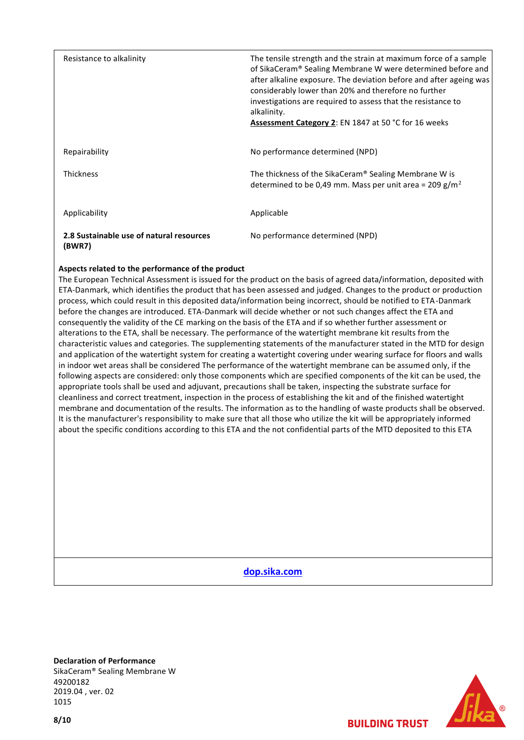| Resistance to alkalinity                           | The tensile strength and the strain at maximum force of a sample<br>of SikaCeram® Sealing Membrane W were determined before and<br>after alkaline exposure. The deviation before and after ageing was<br>considerably lower than 20% and therefore no further<br>investigations are required to assess that the resistance to<br>alkalinity.<br><b>Assessment Category 2: EN 1847 at 50 °C for 16 weeks</b> |
|----------------------------------------------------|-------------------------------------------------------------------------------------------------------------------------------------------------------------------------------------------------------------------------------------------------------------------------------------------------------------------------------------------------------------------------------------------------------------|
| Repairability                                      | No performance determined (NPD)                                                                                                                                                                                                                                                                                                                                                                             |
| <b>Thickness</b>                                   | The thickness of the SikaCeram® Sealing Membrane W is<br>determined to be 0,49 mm. Mass per unit area = 209 g/m <sup>2</sup>                                                                                                                                                                                                                                                                                |
| Applicability                                      | Applicable                                                                                                                                                                                                                                                                                                                                                                                                  |
| 2.8 Sustainable use of natural resources<br>(BWR7) | No performance determined (NPD)                                                                                                                                                                                                                                                                                                                                                                             |

#### **Aspects related to the performance of the product**

The European Technical Assessment is issued for the product on the basis of agreed data/information, deposited with ETA-Danmark, which identifies the product that has been assessed and judged. Changes to the product or production process, which could result in this deposited data/information being incorrect, should be notified to ETA-Danmark before the changes are introduced. ETA-Danmark will decide whether or not such changes affect the ETA and consequently the validity of the CE marking on the basis of the ETA and if so whether further assessment or alterations to the ETA, shall be necessary. The performance of the watertight membrane kit results from the characteristic values and categories. The supplementing statements of the manufacturer stated in the MTD for design and application of the watertight system for creating a watertight covering under wearing surface for floors and walls in indoor wet areas shall be considered The performance of the watertight membrane can be assumed only, if the following aspects are considered: only those components which are specified components of the kit can be used, the appropriate tools shall be used and adjuvant, precautions shall be taken, inspecting the substrate surface for cleanliness and correct treatment, inspection in the process of establishing the kit and of the finished watertight membrane and documentation of the results. The information as to the handling of waste products shall be observed. It is the manufacturer's responsibility to make sure that all those who utilize the kit will be appropriately informed about the specific conditions according to this ETA and the not confidential parts of the MTD deposited to this ETA

**[dop.sika.com](http://dop.sika.com/)**

**Declaration of Performance** SikaCeram® Sealing Membrane W 49200182 2019.04 , ver. 02 1015

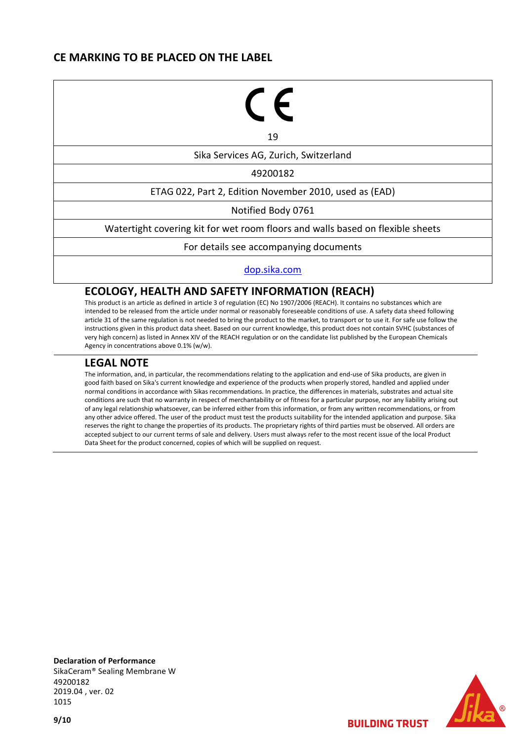# **CE MARKING TO BE PLACED ON THE LABEL**

# ←

19

Sika Services AG, Zurich, Switzerland

49200182

ETAG 022, Part 2, Edition November 2010, used as (EAD)

Notified Body 0761

Watertight covering kit for wet room floors and walls based on flexible sheets

For details see accompanying documents

[dop.sika.com](http://dop.sika.com/)

### **ECOLOGY, HEALTH AND SAFETY INFORMATION (REACH)**

This product is an article as defined in article 3 of regulation (EC) No 1907/2006 (REACH). It contains no substances which are intended to be released from the article under normal or reasonably foreseeable conditions of use. A safety data sheed following article 31 of the same regulation is not needed to bring the product to the market, to transport or to use it. For safe use follow the instructions given in this product data sheet. Based on our current knowledge, this product does not contain SVHC (substances of very high concern) as listed in Annex XIV of the REACH regulation or on the candidate list published by the European Chemicals Agency in concentrations above 0.1% (w/w).

## **LEGAL NOTE**

The information, and, in particular, the recommendations relating to the application and end-use of Sika products, are given in good faith based on Sika's current knowledge and experience of the products when properly stored, handled and applied under normal conditions in accordance with Sikas recommendations. In practice, the differences in materials, substrates and actual site conditions are such that no warranty in respect of merchantability or of fitness for a particular purpose, nor any liability arising out of any legal relationship whatsoever, can be inferred either from this information, or from any written recommendations, or from any other advice offered. The user of the product must test the products suitability for the intended application and purpose. Sika reserves the right to change the properties of its products. The proprietary rights of third parties must be observed. All orders are accepted subject to our current terms of sale and delivery. Users must always refer to the most recent issue of the local Product Data Sheet for the product concerned, copies of which will be supplied on request.